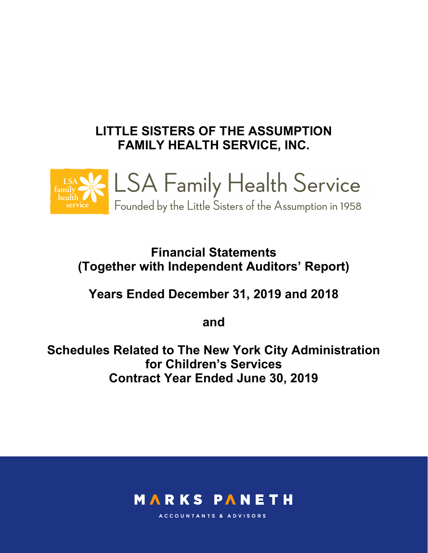## LITTLE SISTERS OF THE ASSUMPTION FAMILY HEALTH SERVICE, INC.



## Financial Statements (Together with Independent Auditors' Report)

# Years Ended December 31, 2019 and 2018

and

Schedules Related to The New York City Administration for Children's Services Contract Year Ended June 30, 2019



ACCOUNTANTS & ADVISORS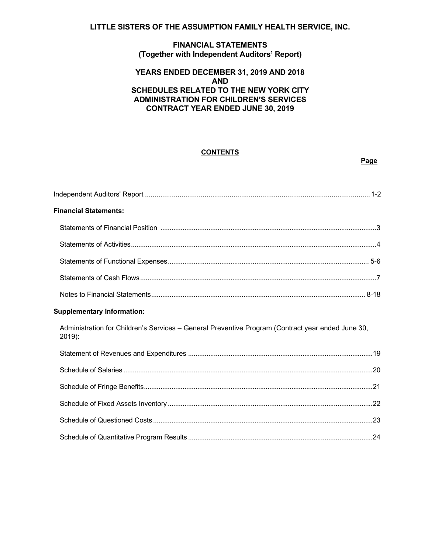## FINANCIAL STATEMENTS (Together with Independent Auditors' Report)

## YEARS ENDED DECEMBER 31, 2019 AND 2018 AND SCHEDULES RELATED TO THE NEW YORK CITY ADMINISTRATION FOR CHILDREN'S SERVICES CONTRACT YEAR ENDED JUNE 30, 2019

## **CONTENTS**

#### Page

| <b>Financial Statements:</b>                                                                                  |  |
|---------------------------------------------------------------------------------------------------------------|--|
|                                                                                                               |  |
|                                                                                                               |  |
|                                                                                                               |  |
|                                                                                                               |  |
|                                                                                                               |  |
| <b>Supplementary Information:</b>                                                                             |  |
| Administration for Children's Services - General Preventive Program (Contract year ended June 30,<br>$2019$ : |  |
|                                                                                                               |  |
|                                                                                                               |  |
|                                                                                                               |  |
|                                                                                                               |  |
|                                                                                                               |  |
|                                                                                                               |  |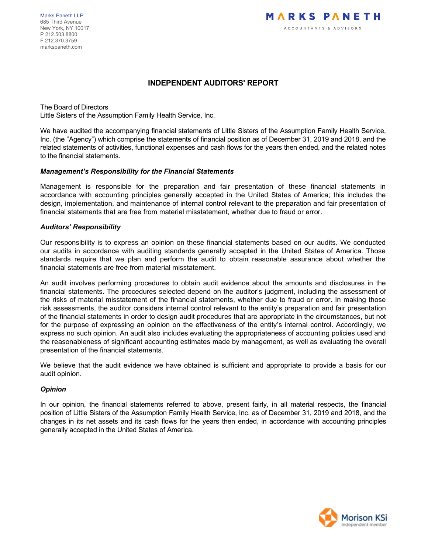Marks Paneth LLP 685 Third Avenue New York, NY 10017 P 212.503.8800 F 212.370.3759 markspaneth.com

## INDEPENDENT AUDITORS' REPORT

The Board of Directors Little Sisters of the Assumption Family Health Service, Inc.

We have audited the accompanying financial statements of Little Sisters of the Assumption Family Health Service, Inc. (the "Agency") which comprise the statements of financial position as of December 31, 2019 and 2018, and the related statements of activities, functional expenses and cash flows for the years then ended, and the related notes to the financial statements.

#### Management's Responsibility for the Financial Statements

Management is responsible for the preparation and fair presentation of these financial statements in accordance with accounting principles generally accepted in the United States of America; this includes the design, implementation, and maintenance of internal control relevant to the preparation and fair presentation of financial statements that are free from material misstatement, whether due to fraud or error.

#### Auditors' Responsibility

Our responsibility is to express an opinion on these financial statements based on our audits. We conducted our audits in accordance with auditing standards generally accepted in the United States of America. Those standards require that we plan and perform the audit to obtain reasonable assurance about whether the financial statements are free from material misstatement.

An audit involves performing procedures to obtain audit evidence about the amounts and disclosures in the financial statements. The procedures selected depend on the auditor's judgment, including the assessment of the risks of material misstatement of the financial statements, whether due to fraud or error. In making those risk assessments, the auditor considers internal control relevant to the entity's preparation and fair presentation of the financial statements in order to design audit procedures that are appropriate in the circumstances, but not for the purpose of expressing an opinion on the effectiveness of the entity's internal control. Accordingly, we express no such opinion. An audit also includes evaluating the appropriateness of accounting policies used and the reasonableness of significant accounting estimates made by management, as well as evaluating the overall presentation of the financial statements.

We believe that the audit evidence we have obtained is sufficient and appropriate to provide a basis for our audit opinion.

#### **Opinion**

In our opinion, the financial statements referred to above, present fairly, in all material respects, the financial position of Little Sisters of the Assumption Family Health Service, Inc. as of December 31, 2019 and 2018, and the changes in its net assets and its cash flows for the years then ended, in accordance with accounting principles generally accepted in the United States of America.

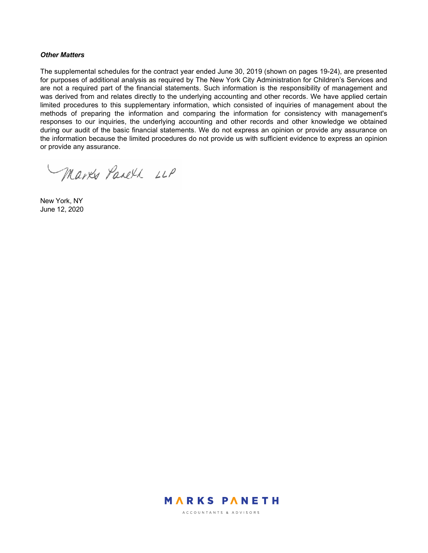#### Other Matters

The supplemental schedules for the contract year ended June 30, 2019 (shown on pages 19-24), are presented for purposes of additional analysis as required by The New York City Administration for Children's Services and are not a required part of the financial statements. Such information is the responsibility of management and was derived from and relates directly to the underlying accounting and other records. We have applied certain limited procedures to this supplementary information, which consisted of inquiries of management about the methods of preparing the information and comparing the information for consistency with management's responses to our inquiries, the underlying accounting and other records and other knowledge we obtained during our audit of the basic financial statements. We do not express an opinion or provide any assurance on the information because the limited procedures do not provide us with sufficient evidence to express an opinion or provide any assurance.

Marks Panell LLP

New York, NY June 12, 2020



ACCOUNTANTS & ADVISORS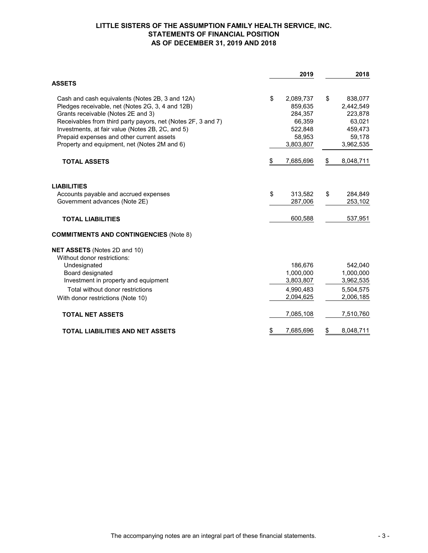## **LITTLE SISTERS OF THE ASSUMPTION FAMILY HEALTH SERVICE, INC. STATEMENTS OF FINANCIAL POSITION AS OF DECEMBER 31, 2019 AND 2018**

|                                                              | 2019            |               | 2018      |
|--------------------------------------------------------------|-----------------|---------------|-----------|
| <b>ASSETS</b>                                                |                 |               |           |
| Cash and cash equivalents (Notes 2B, 3 and 12A)              | \$<br>2,089,737 | \$            | 838,077   |
| Pledges receivable, net (Notes 2G, 3, 4 and 12B)             | 859,635         |               | 2,442,549 |
| Grants receivable (Notes 2E and 3)                           | 284,357         |               | 223,878   |
| Receivables from third party payors, net (Notes 2F, 3 and 7) | 66,359          |               | 63,021    |
| Investments, at fair value (Notes 2B, 2C, and 5)             | 522,848         |               | 459,473   |
| Prepaid expenses and other current assets                    | 58,953          |               | 59,178    |
| Property and equipment, net (Notes 2M and 6)                 | 3,803,807       |               | 3,962,535 |
| <b>TOTAL ASSETS</b>                                          | \$<br>7,685,696 | $\frac{1}{2}$ | 8,048,711 |
| <b>LIABILITIES</b>                                           |                 |               |           |
| Accounts payable and accrued expenses                        | \$<br>313,582   | \$            | 284,849   |
| Government advances (Note 2E)                                | 287,006         |               | 253,102   |
| <b>TOTAL LIABILITIES</b>                                     | 600,588         |               | 537,951   |
| <b>COMMITMENTS AND CONTINGENCIES (Note 8)</b>                |                 |               |           |
| <b>NET ASSETS</b> (Notes 2D and 10)                          |                 |               |           |
| Without donor restrictions:                                  |                 |               |           |
| Undesignated                                                 | 186,676         |               | 542,040   |
| Board designated                                             | 1,000,000       |               | 1,000,000 |
| Investment in property and equipment                         | 3,803,807       |               | 3,962,535 |
| Total without donor restrictions                             | 4.990.483       |               | 5,504,575 |
| With donor restrictions (Note 10)                            | 2,094,625       |               | 2,006,185 |
| <b>TOTAL NET ASSETS</b>                                      | 7,085,108       |               | 7,510,760 |
| <b>TOTAL LIABILITIES AND NET ASSETS</b>                      | \$<br>7,685,696 | \$            | 8,048,711 |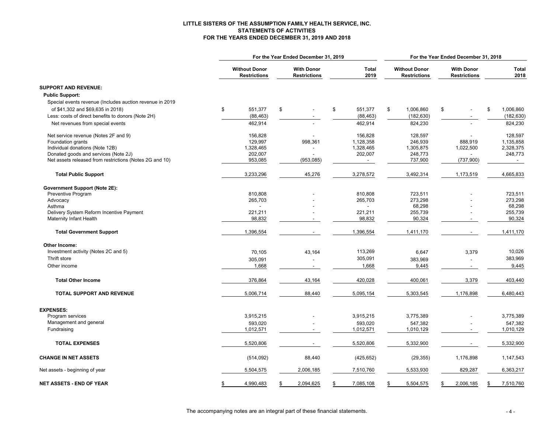#### **LITTLE SISTERS OF THE ASSUMPTION FAMILY HEALTH SERVICE, INC. STATEMENTS OF ACTIVITIES FOR THE YEARS ENDED DECEMBER 31, 2019 AND 2018**

|                                                          |                                             |     | For the Year Ended December 31, 2019     |                      | For the Year Ended December 31, 2018        |    |                                          |    |                      |
|----------------------------------------------------------|---------------------------------------------|-----|------------------------------------------|----------------------|---------------------------------------------|----|------------------------------------------|----|----------------------|
|                                                          | <b>Without Donor</b><br><b>Restrictions</b> |     | <b>With Donor</b><br><b>Restrictions</b> | <b>Total</b><br>2019 | <b>Without Donor</b><br><b>Restrictions</b> |    | <b>With Donor</b><br><b>Restrictions</b> |    | <b>Total</b><br>2018 |
| <b>SUPPORT AND REVENUE:</b>                              |                                             |     |                                          |                      |                                             |    |                                          |    |                      |
| <b>Public Support:</b>                                   |                                             |     |                                          |                      |                                             |    |                                          |    |                      |
| Special events revenue (Includes auction revenue in 2019 |                                             |     |                                          |                      |                                             |    |                                          |    |                      |
| of \$41,302 and \$69,635 in 2018)                        | \$<br>551,377                               | \$  |                                          | \$<br>551,377        | \$<br>1,006,860                             | \$ |                                          | \$ | 1,006,860            |
| Less: costs of direct benefits to donors (Note 2H)       | (88, 463)                                   |     |                                          | (88, 463)            | (182, 630)                                  |    |                                          |    | (182, 630)           |
| Net revenues from special events                         | 462,914                                     |     |                                          | 462,914              | 824,230                                     |    |                                          |    | 824,230              |
| Net service revenue (Notes 2F and 9)                     | 156,828                                     |     |                                          | 156,828              | 128,597                                     |    |                                          |    | 128,597              |
| Foundation grants                                        | 129,997                                     |     | 998,361                                  | 1,128,358            | 246,939                                     |    | 888,919                                  |    | 1,135,858            |
| Individual donations (Note 12B)                          | 1,328,465                                   |     |                                          | 1,328,465            | 1,305,875                                   |    | 1,022,500                                |    | 2,328,375            |
| Donated goods and services (Note 2J)                     | 202,007                                     |     |                                          | 202,007              | 248,773                                     |    |                                          |    | 248,773              |
| Net assets released from restrictions (Notes 2G and 10)  | 953,085                                     |     | (953,085)                                | $\sim$               | 737,900                                     |    | (737,900)                                |    | $\sim$               |
| <b>Total Public Support</b>                              | 3,233,296                                   |     | 45,276                                   | 3,278,572            | 3,492,314                                   |    | 1,173,519                                |    | 4,665,833            |
| <b>Government Support (Note 2E):</b>                     |                                             |     |                                          |                      |                                             |    |                                          |    |                      |
| Preventive Program                                       | 810,808                                     |     |                                          | 810,808              | 723,511                                     |    |                                          |    | 723,511              |
| Advocacy                                                 | 265,703                                     |     |                                          | 265,703              | 273,298                                     |    |                                          |    | 273,298              |
| Asthma                                                   |                                             |     |                                          |                      | 68,298                                      |    |                                          |    | 68,298               |
| Delivery System Reform Incentive Payment                 | 221,211                                     |     |                                          | 221,211              | 255,739                                     |    |                                          |    | 255,739              |
| Maternity Infant Health                                  | 98,832                                      |     |                                          | 98,832               | 90,324                                      |    |                                          |    | 90,324               |
| <b>Total Government Support</b>                          | 1,396,554                                   |     |                                          | 1,396,554            | 1,411,170                                   |    |                                          |    | 1,411,170            |
| Other Income:                                            |                                             |     |                                          |                      |                                             |    |                                          |    |                      |
| Investment activity (Notes 2C and 5)                     | 70,105                                      |     | 43,164                                   | 113,269              | 6,647                                       |    | 3,379                                    |    | 10,026               |
| Thrift store                                             | 305,091                                     |     |                                          | 305,091              | 383,969                                     |    |                                          |    | 383,969              |
| Other income                                             | 1,668                                       |     | $\sim$                                   | 1,668                | 9,445                                       |    | $\overline{\phantom{a}}$                 |    | 9,445                |
| <b>Total Other Income</b>                                | 376,864                                     |     | 43,164                                   | 420,028              | 400,061                                     |    | 3,379                                    |    | 403,440              |
| <b>TOTAL SUPPORT AND REVENUE</b>                         | 5,006,714                                   |     | 88,440                                   | 5,095,154            | 5,303,545                                   |    | 1,176,898                                |    | 6,480,443            |
| <b>EXPENSES:</b>                                         |                                             |     |                                          |                      |                                             |    |                                          |    |                      |
| Program services                                         | 3,915,215                                   |     |                                          | 3,915,215            | 3,775,389                                   |    |                                          |    | 3,775,389            |
| Management and general                                   | 593,020                                     |     |                                          | 593,020              | 547,382                                     |    |                                          |    | 547,382              |
| Fundraising                                              | 1,012,571                                   |     |                                          | 1,012,571            | 1,010,129                                   |    |                                          |    | 1,010,129            |
| <b>TOTAL EXPENSES</b>                                    | 5,520,806                                   |     |                                          | 5,520,806            | 5,332,900                                   |    | $\sim$                                   |    | 5,332,900            |
| <b>CHANGE IN NET ASSETS</b>                              | (514, 092)                                  |     | 88,440                                   | (425, 652)           | (29, 355)                                   |    | 1,176,898                                |    | 1,147,543            |
| Net assets - beginning of year                           | 5,504,575                                   |     | 2,006,185                                | 7,510,760            | 5,533,930                                   |    | 829,287                                  |    | 6,363,217            |
| <b>NET ASSETS - END OF YEAR</b>                          | \$<br>4,990,483                             | \$. | 2,094,625                                | \$<br>7,085,108      | \$<br>5,504,575                             |    | 2,006,185                                | \$ | 7,510,760            |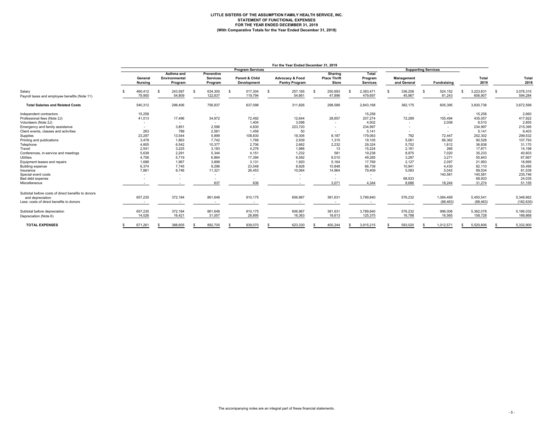#### **LITTLE SISTERS OF THE ASSUMPTION FAMILY HEALTH SERVICE, INC. STATEMENT OF FUNCTIONAL EXPENSES FOR THE YEAR ENDED DECEMBER 31, 2019 (With Comparative Totals for the Year Ended December 31, 2018)**

|                                                    |                           |                                        |    |                                          |    |                                      |              | For the Year Ended December 31, 2019                |                                                       |                                     |                            |                           |  |                          |                 |    |               |
|----------------------------------------------------|---------------------------|----------------------------------------|----|------------------------------------------|----|--------------------------------------|--------------|-----------------------------------------------------|-------------------------------------------------------|-------------------------------------|----------------------------|---------------------------|--|--------------------------|-----------------|----|---------------|
|                                                    |                           |                                        |    |                                          |    | <b>Program Services</b>              |              |                                                     |                                                       |                                     | <b>Supporting Services</b> |                           |  |                          |                 |    |               |
|                                                    | General<br><b>Nursina</b> | Asthma and<br>Environmental<br>Program |    | Preventive<br><b>Services</b><br>Program |    | Parent & Child<br><b>Development</b> |              | <b>Advocacy &amp; Food</b><br><b>Pantry Program</b> | <b>Sharing</b><br><b>Place Thrift</b><br><b>Store</b> | Total<br>Program<br><b>Services</b> |                            | Management<br>and General |  | Fundraising              | Total<br>2019   |    | Total<br>2018 |
| Salarv                                             | 460,412                   | 243,597                                | £. | 634,300                                  | -S | 517.304                              | $\mathbf{s}$ | 257,165                                             | 250,693                                               | 2,363,471                           |                            | 336,208                   |  | 524,152                  | \$<br>3,223,831 | -S | 3,078,315     |
| Payroll taxes and employee benefits (Note 11)      | 79,900                    | 54,809                                 |    | 122,637                                  |    | 119,794                              |              | 54,661                                              | 47,896                                                | 479,697                             |                            | 45,967                    |  | 81,243                   | 606,907         |    | 594,284       |
| <b>Total Salaries and Related Costs</b>            | 540,312                   | 298,406                                |    | 756,937                                  |    | 637,098                              |              | 311,826                                             | 298,589                                               | 2,843,168                           |                            | 382,175                   |  | 605,395                  | 3,830,738       |    | 3,672,599     |
| Independent contractors                            | 15,258                    | $\sim$                                 |    | $\overline{\phantom{a}}$                 |    |                                      |              |                                                     |                                                       | 15,258                              |                            | $\sim$                    |  |                          | 15,258          |    | 2,660         |
| Professional fees (Note 2J)                        | 41,013                    | 17,496                                 |    | 34,972                                   |    | 72,492                               |              | 12,644                                              | 28,657                                                | 207,274                             |                            | 72,289                    |  | 155,494                  | 435,057         |    | 417,922       |
| Volunteers (Note 2J)                               |                           | $\sim$                                 |    | $\overline{\phantom{a}}$                 |    | 1,404                                |              | 3,098                                               |                                                       | 4,502                               |                            |                           |  | 2,008                    | 6,510           |    | 2,855         |
| Emergency and family assistance                    |                           | 3,851                                  |    | 2,596                                    |    | 4,830                                |              | 223,720                                             |                                                       | 234,997                             |                            |                           |  |                          | 234,997         |    | 215,395       |
| Client events, classes and activities              | 263                       | 789                                    |    | 2,581                                    |    | 1.458                                |              | 50                                                  | $\overline{\phantom{a}}$                              | 5.141                               |                            |                           |  | $\overline{\phantom{a}}$ | 5,141           |    | 9.403         |
| Supplies                                           | 23,297                    | 13,544                                 |    | 5,899                                    |    | 108,830                              |              | 19,306                                              | 8,187                                                 | 179,063                             |                            | 792                       |  | 72,447                   | 252,302         |    | 299,532       |
| Printing and publications                          | 3,478                     | 1,863                                  |    | 7.742                                    |    | 1,768                                |              | 2,939                                               | 1,315                                                 | 19,105                              |                            | 5,061                     |  | 66,362                   | 90,528          |    | 107,793       |
| Telephone                                          | 4,805                     | 6,542                                  |    | 10,377                                   |    | 2,706                                |              | 2,662                                               | 2,232                                                 | 29,324                              |                            | 5,702                     |  | 1,812                    | 36,838          |    | 31,170        |
| Travel                                             | 2,541                     | 3.225                                  |    | 3.183                                    |    | 4.276                                |              | 1.986                                               | 13                                                    | 15.224                              |                            | 2.181                     |  | 266                      | 17.671          |    | 14,198        |
| Conferences, in-service and meetings               | 5,639                     | 2.291                                  |    | 5,344                                    |    | 4,151                                |              | 1,232                                               | 581                                                   | 19,238                              |                            | 8,975                     |  | 7,020                    | 35,233          |    | 40,603        |
| Utilities                                          | 4,706                     | 5.719                                  |    | 6,864                                    |    | 17,394                               |              | 6,592                                               | 8,010                                                 | 49,285                              |                            | 3,287                     |  | 3,271                    | 55,843          |    | 67,667        |
| Equipment leases and repairs                       | 1,688                     | 1,967                                  |    | 3,899                                    |    | 3,131                                |              | 1,920                                               | 5,164                                                 | 17,769                              |                            | 2,127                     |  | 2,097                    | 21,993          |    | 18,895        |
| Building expense                                   | 6,374                     | 7.745                                  |    | 9,296                                    |    | 23,548                               |              | 8.928                                               | 10,848                                                | 66,739                              |                            | 10,941                    |  | 4,430                    | 82,110          |    | 55,495        |
| Insurance                                          | 7,861                     | 8.746                                  |    | 11,321                                   |    | 26,453                               |              | 10.064                                              | 14,964                                                | 79,409                              |                            | 5.083                     |  | 5.042                    | 89,534          |    | 81,539        |
| Special event costs                                | ٠                         | $\sim$                                 |    | $\overline{\phantom{a}}$                 |    | ٠                                    |              |                                                     |                                                       |                                     |                            |                           |  | 140,581                  | 140,581         |    | 235,746       |
| Bad debt expense                                   |                           | $\overline{\phantom{a}}$               |    | $\overline{\phantom{a}}$                 |    |                                      |              |                                                     |                                                       |                                     |                            | 68,933                    |  | $\overline{\phantom{a}}$ | 68,933          |    | 24,035        |
| Miscellaneous                                      |                           |                                        |    | 637                                      |    | 636                                  |              |                                                     | 3,071                                                 | 4,344                               |                            | 8,686                     |  | 18,244                   | 31,274          |    | 51,155        |
| Subtotal before costs of direct benefits to donors |                           |                                        |    |                                          |    |                                      |              |                                                     |                                                       |                                     |                            |                           |  |                          |                 |    |               |
| and depreciation                                   | 657,235                   | 372,184                                |    | 861,648                                  |    | 910,175                              |              | 606,967                                             | 381,631                                               | 3,789,840                           |                            | 576,232                   |  | 1.084.469                | 5,450,541       |    | 5,348,662     |
| Less: costs of direct benefits to donors           |                           |                                        |    |                                          |    |                                      |              |                                                     |                                                       |                                     |                            |                           |  | (88, 463)                | (88, 463)       |    | (182, 630)    |
| Subtotal before depreciation                       | 657.235                   | 372,184                                |    | 861,648                                  |    | 910.175                              |              | 606,967                                             | 381,631                                               | 3,789,840                           |                            | 576,232                   |  | 996,006                  | 5,362,078       |    | 5,166,032     |
| Depreciation (Note 6)                              | 14,026                    | 16,421                                 |    | 31,057                                   |    | 28,895                               |              | 16,363                                              | 18,613                                                | 125,375                             |                            | 16,788                    |  | 16,565                   | 158,728         |    | 166,868       |
| <b>TOTAL EXPENSES</b>                              | 671,261                   | 388,605                                |    | 892,705                                  |    | 939,070                              |              | 623,330                                             | 400,244                                               | 3,915,215                           |                            | 593,020                   |  | 1,012,571                | 5,520,806       |    | 5,332,900     |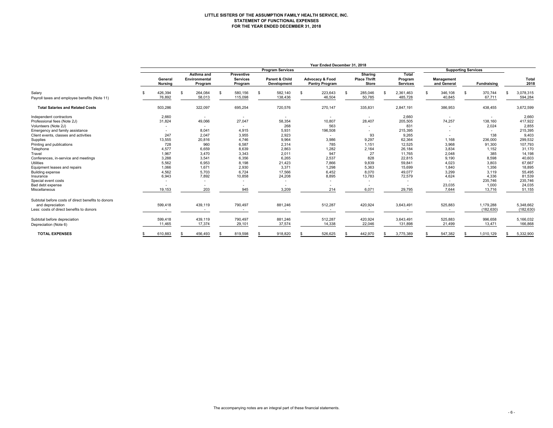#### **LITTLE SISTERS OF THE ASSUMPTION FAMILY HEALTH SERVICE, INC. STATEMENT OF FUNCTIONAL EXPENSES FOR THE YEAR ENDED DECEMBER 31, 2018**

|                                                    |                           |     |                                        |     |                                          |                               | Year Ended December 31, 2018                        |     |                                                |                                     |                                  |     |                          |                |               |
|----------------------------------------------------|---------------------------|-----|----------------------------------------|-----|------------------------------------------|-------------------------------|-----------------------------------------------------|-----|------------------------------------------------|-------------------------------------|----------------------------------|-----|--------------------------|----------------|---------------|
|                                                    |                           |     |                                        |     |                                          | <b>Program Services</b>       |                                                     |     |                                                |                                     | <b>Supporting Services</b>       |     |                          |                |               |
|                                                    | General<br><b>Nursing</b> |     | Asthma and<br>Environmental<br>Program |     | Preventive<br><b>Services</b><br>Program | Parent & Child<br>Development | <b>Advocacy &amp; Food</b><br><b>Pantry Program</b> |     | Sharing<br><b>Place Thrift</b><br><b>Store</b> | Total<br>Program<br><b>Services</b> | <b>Management</b><br>and General |     | Fundraising              |                | Total<br>2018 |
| Salary                                             | 426,394                   | \$. | 264.084                                | \$. | 580.156                                  | \$<br>582,140                 | 223,643                                             | \$. | 285,046                                        | \$<br>2,361,463                     | \$<br>346,108                    | \$. | 370,744                  | $\mathfrak{L}$ | 3,078,315     |
| Payroll taxes and employee benefits (Note 11)      | 76,892                    |     | 58,013                                 |     | 115,098                                  | 138,436                       | 46,504                                              |     | 50,785                                         | 485,728                             | 40,845                           |     | 67,711                   |                | 594,284       |
| <b>Total Salaries and Related Costs</b>            | 503,286                   |     | 322,097                                |     | 695,254                                  | 720,576                       | 270,147                                             |     | 335,831                                        | 2,847,191                           | 386,953                          |     | 438,455                  |                | 3,672,599     |
| Independent contractors                            | 2,660                     |     | $\overline{\phantom{a}}$               |     | $\sim$                                   | $\overline{\phantom{a}}$      | $\overline{\phantom{a}}$                            |     | $\overline{\phantom{a}}$                       | 2,660                               | $\overline{\phantom{a}}$         |     | $\overline{\phantom{a}}$ |                | 2,660         |
| Professional fees (Note 2J)                        | 31,824                    |     | 49,066                                 |     | 27,047                                   | 58,354                        | 10,807                                              |     | 28,407                                         | 205,505                             | 74,257                           |     | 138,160                  |                | 417,922       |
| Volunteers (Note 2J)                               |                           |     | $\sim$                                 |     | $\overline{\phantom{a}}$                 | 268                           | 563                                                 |     |                                                | 831                                 |                                  |     | 2,024                    |                | 2,855         |
| Emergency and family assistance                    | $\blacksquare$            |     | 8,041                                  |     | 4,915                                    | 5,931                         | 196,508                                             |     | ٠                                              | 215,395                             |                                  |     | $\overline{\phantom{a}}$ |                | 215,395       |
| Client events, classes and activities              | 247                       |     | 2,047                                  |     | 3,955                                    | 2,923                         |                                                     |     | 93                                             | 9,265                               |                                  |     | 138                      |                | 9,403         |
| Supplies                                           | 13,555                    |     | 20,816                                 |     | 4.746                                    | 9,964                         | 3,986                                               |     | 9,297                                          | 62,364                              | 1.168                            |     | 236,000                  |                | 299,532       |
| Printing and publications                          | 728                       |     | 960                                    |     | 6,587                                    | 2,314                         | 785                                                 |     | 1,151                                          | 12,525                              | 3,968                            |     | 91,300                   |                | 107,793       |
| Telephone                                          | 4,577                     |     | 6,659                                  |     | 8,639                                    | 2,863                         | 1,282                                               |     | 2,164                                          | 26,184                              | 3,834                            |     | 1,152                    |                | 31,170        |
| Travel                                             | 1,967                     |     | 3,470                                  |     | 3,343                                    | 2,011                         | 947                                                 |     | 27                                             | 11,765                              | 2,048                            |     | 385                      |                | 14,198        |
| Conferences, in-service and meetings               | 3,288                     |     | 3,541                                  |     | 6,356                                    | 6,265                         | 2,537                                               |     | 828                                            | 22,815                              | 9,190                            |     | 8,598                    |                | 40,603        |
| Utilities                                          | 5,562                     |     | 6,953                                  |     | 8,198                                    | 21,423                        | 7,866                                               |     | 9,839                                          | 59,841                              | 4,023                            |     | 3,803                    |                | 67,667        |
| Equipment leases and repairs                       | 1,066                     |     | 1,671                                  |     | 2,930                                    | 3,371                         | 1,298                                               |     | 5,363                                          | 15,699                              | 1,840                            |     | 1,356                    |                | 18,895        |
| <b>Building expense</b>                            | 4,562                     |     | 5,703                                  |     | 6.724                                    | 17,566                        | 6.452                                               |     | 8,070                                          | 49,077                              | 3,299                            |     | 3.119                    |                | 55,495        |
| Insurance                                          | 6,943                     |     | 7,892                                  |     | 10,858                                   | 24,208                        | 8,895                                               |     | 13,783                                         | 72,579                              | 4,624                            |     | 4,336                    |                | 81,539        |
| Special event costs                                |                           |     |                                        |     |                                          |                               | $\blacksquare$                                      |     |                                                |                                     |                                  |     | 235,746                  |                | 235,746       |
| Bad debt expense                                   |                           |     |                                        |     |                                          |                               | $\overline{\phantom{a}}$                            |     |                                                |                                     | 23,035                           |     | 1,000                    |                | 24,035        |
| Miscellaneous                                      | 19,153                    |     | 203                                    |     | 945                                      | 3,209                         | 214                                                 |     | 6,071                                          | 29,795                              | 7,644                            |     | 13,716                   |                | 51,155        |
| Subtotal before costs of direct benefits to donors |                           |     |                                        |     |                                          |                               |                                                     |     |                                                |                                     |                                  |     |                          |                |               |
| and depreciation                                   | 599,418                   |     | 439,119                                |     | 790,497                                  | 881,246                       | 512,287                                             |     | 420,924                                        | 3,643,491                           | 525,883                          |     | 1,179,288                |                | 5,348,662     |
| Less: costs of direct benefits to donors           |                           |     |                                        |     |                                          |                               |                                                     |     |                                                |                                     |                                  |     | (182, 630)               |                | (182, 630)    |
| Subtotal before depreciation                       | 599,418                   |     | 439,119                                |     | 790,497                                  | 881,246                       | 512,287                                             |     | 420,924                                        | 3,643,491                           | 525,883                          |     | 996,658                  |                | 5,166,032     |
| Depreciation (Note 6)                              | 11,465                    |     | 17,374                                 |     | 29,101                                   | 37,574                        | 14,338                                              |     | 22,046                                         | 131,898                             | 21,499                           |     | 13,471                   |                | 166,868       |
| <b>TOTAL EXPENSES</b>                              | 610,883                   |     | 456,493                                |     | 819,598                                  | 918,820                       | 526,625                                             |     | 442,970                                        | 3,775,389                           | 547,382                          |     | 1,010,129                |                | 5,332,900     |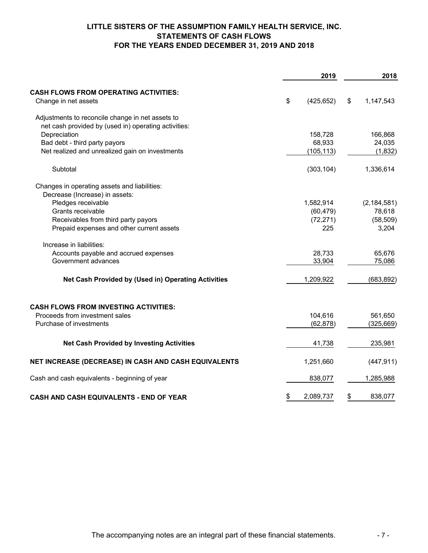## **LITTLE SISTERS OF THE ASSUMPTION FAMILY HEALTH SERVICE, INC. STATEMENTS OF CASH FLOWS FOR THE YEARS ENDED DECEMBER 31, 2019 AND 2018**

|                                                      | 2019             | 2018            |
|------------------------------------------------------|------------------|-----------------|
| <b>CASH FLOWS FROM OPERATING ACTIVITIES:</b>         |                  |                 |
| Change in net assets                                 | \$<br>(425, 652) | \$<br>1,147,543 |
| Adjustments to reconcile change in net assets to     |                  |                 |
| net cash provided by (used in) operating activities: |                  |                 |
| Depreciation                                         | 158,728          | 166,868         |
| Bad debt - third party payors                        | 68,933           | 24,035          |
| Net realized and unrealized gain on investments      | (105, 113)       | (1, 832)        |
| Subtotal                                             | (303, 104)       | 1,336,614       |
| Changes in operating assets and liabilities:         |                  |                 |
| Decrease (Increase) in assets:                       |                  |                 |
| Pledges receivable                                   | 1,582,914        | (2, 184, 581)   |
| Grants receivable                                    | (60, 479)        | 78,618          |
| Receivables from third party payors                  | (72, 271)        | (58, 509)       |
| Prepaid expenses and other current assets            | 225              | 3,204           |
| Increase in liabilities:                             |                  |                 |
| Accounts payable and accrued expenses                | 28,733           | 65,676          |
| Government advances                                  | 33,904           | 75,086          |
| Net Cash Provided by (Used in) Operating Activities  | 1,209,922        | (683, 892)      |
| <b>CASH FLOWS FROM INVESTING ACTIVITIES:</b>         |                  |                 |
| Proceeds from investment sales                       | 104,616          | 561,650         |
| Purchase of investments                              | (62, 878)        | (325, 669)      |
|                                                      |                  |                 |
| <b>Net Cash Provided by Investing Activities</b>     | 41,738           | 235,981         |
| NET INCREASE (DECREASE) IN CASH AND CASH EQUIVALENTS | 1,251,660        | (447, 911)      |
| Cash and cash equivalents - beginning of year        | 838,077          | 1,285,988       |
| CASH AND CASH EQUIVALENTS - END OF YEAR              | \$<br>2,089,737  | \$<br>838,077   |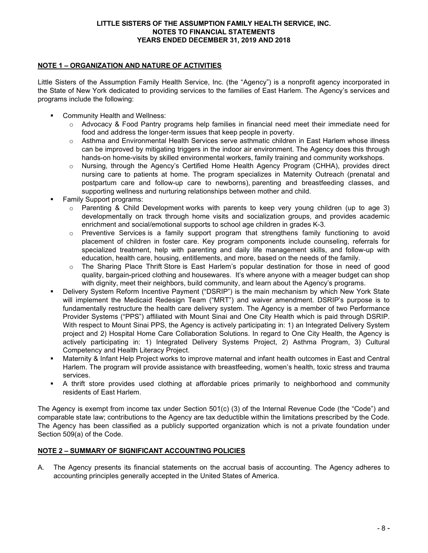## NOTE 1 – ORGANIZATION AND NATURE OF ACTIVITIES

Little Sisters of the Assumption Family Health Service, Inc. (the "Agency") is a nonprofit agency incorporated in the State of New York dedicated to providing services to the families of East Harlem. The Agency's services and programs include the following:

- Community Health and Wellness:
	- o Advocacy & Food Pantry programs help families in financial need meet their immediate need for food and address the longer-term issues that keep people in poverty.
	- o Asthma and Environmental Health Services serve asthmatic children in East Harlem whose illness can be improved by mitigating triggers in the indoor air environment. The Agency does this through hands-on home-visits by skilled environmental workers, family training and community workshops.
	- o Nursing, through the Agency's Certified Home Health Agency Program (CHHA), provides direct nursing care to patients at home. The program specializes in Maternity Outreach (prenatal and postpartum care and follow-up care to newborns), parenting and breastfeeding classes, and supporting wellness and nurturing relationships between mother and child.
- Family Support programs:
	- $\circ$  Parenting & Child Development works with parents to keep very young children (up to age 3) developmentally on track through home visits and socialization groups, and provides academic enrichment and social/emotional supports to school age children in grades K-3.
	- o Preventive Services is a family support program that strengthens family functioning to avoid placement of children in foster care. Key program components include counseling, referrals for specialized treatment, help with parenting and daily life management skills, and follow-up with education, health care, housing, entitlements, and more, based on the needs of the family.
	- o The Sharing Place Thrift Store is East Harlem's popular destination for those in need of good quality, bargain-priced clothing and housewares. It's where anyone with a meager budget can shop with dignity, meet their neighbors, build community, and learn about the Agency's programs.
- Delivery System Reform Incentive Payment ("DSRIP") is the main mechanism by which New York State will implement the Medicaid Redesign Team ("MRT") and waiver amendment. DSRIP's purpose is to fundamentally restructure the health care delivery system. The Agency is a member of two Performance Provider Systems ("PPS") affiliated with Mount Sinai and One City Health which is paid through DSRIP. With respect to Mount Sinai PPS, the Agency is actively participating in: 1) an Integrated Delivery System project and 2) Hospital Home Care Collaboration Solutions. In regard to One City Health, the Agency is actively participating in: 1) Integrated Delivery Systems Project, 2) Asthma Program, 3) Cultural Competency and Health Literacy Project.
- Maternity & Infant Help Project works to improve maternal and infant health outcomes in East and Central Harlem. The program will provide assistance with breastfeeding, women's health, toxic stress and trauma services.
- A thrift store provides used clothing at affordable prices primarily to neighborhood and community residents of East Harlem.

The Agency is exempt from income tax under Section 501(c) (3) of the Internal Revenue Code (the "Code") and comparable state law; contributions to the Agency are tax deductible within the limitations prescribed by the Code. The Agency has been classified as a publicly supported organization which is not a private foundation under Section 509(a) of the Code.

## NOTE 2 – SUMMARY OF SIGNIFICANT ACCOUNTING POLICIES

A. The Agency presents its financial statements on the accrual basis of accounting. The Agency adheres to accounting principles generally accepted in the United States of America.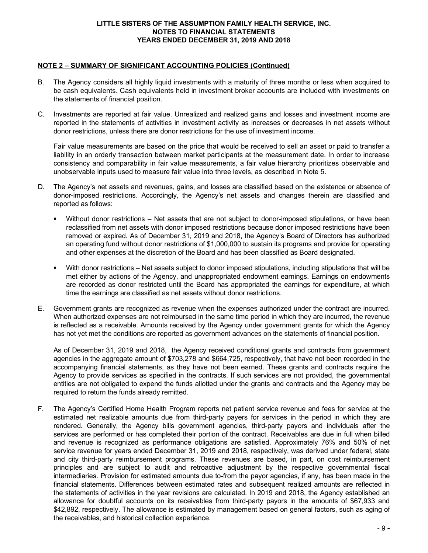#### NOTE 2 – SUMMARY OF SIGNIFICANT ACCOUNTING POLICIES (Continued)

- B. The Agency considers all highly liquid investments with a maturity of three months or less when acquired to be cash equivalents. Cash equivalents held in investment broker accounts are included with investments on the statements of financial position.
- C. Investments are reported at fair value. Unrealized and realized gains and losses and investment income are reported in the statements of activities in investment activity as increases or decreases in net assets without donor restrictions, unless there are donor restrictions for the use of investment income.

Fair value measurements are based on the price that would be received to sell an asset or paid to transfer a liability in an orderly transaction between market participants at the measurement date. In order to increase consistency and comparability in fair value measurements, a fair value hierarchy prioritizes observable and unobservable inputs used to measure fair value into three levels, as described in Note 5.

- D. The Agency's net assets and revenues, gains, and losses are classified based on the existence or absence of donor-imposed restrictions. Accordingly, the Agency's net assets and changes therein are classified and reported as follows:
	- Without donor restrictions Net assets that are not subject to donor-imposed stipulations, or have been reclassified from net assets with donor imposed restrictions because donor imposed restrictions have been removed or expired. As of December 31, 2019 and 2018, the Agency's Board of Directors has authorized an operating fund without donor restrictions of \$1,000,000 to sustain its programs and provide for operating and other expenses at the discretion of the Board and has been classified as Board designated.
	- With donor restrictions Net assets subject to donor imposed stipulations, including stipulations that will be met either by actions of the Agency, and unappropriated endowment earnings. Earnings on endowments are recorded as donor restricted until the Board has appropriated the earnings for expenditure, at which time the earnings are classified as net assets without donor restrictions.
- E. Government grants are recognized as revenue when the expenses authorized under the contract are incurred. When authorized expenses are not reimbursed in the same time period in which they are incurred, the revenue is reflected as a receivable. Amounts received by the Agency under government grants for which the Agency has not yet met the conditions are reported as government advances on the statements of financial position.

As of December 31, 2019 and 2018, the Agency received conditional grants and contracts from government agencies in the aggregate amount of \$703,278 and \$664,725, respectively, that have not been recorded in the accompanying financial statements, as they have not been earned. These grants and contracts require the Agency to provide services as specified in the contracts. If such services are not provided, the governmental entities are not obligated to expend the funds allotted under the grants and contracts and the Agency may be required to return the funds already remitted.

F. The Agency's Certified Home Health Program reports net patient service revenue and fees for service at the estimated net realizable amounts due from third-party payers for services in the period in which they are rendered. Generally, the Agency bills government agencies, third-party payors and individuals after the services are performed or has completed their portion of the contract. Receivables are due in full when billed and revenue is recognized as performance obligations are satisfied. Approximately 76% and 50% of net service revenue for years ended December 31, 2019 and 2018, respectively, was derived under federal, state and city third-party reimbursement programs. These revenues are based, in part, on cost reimbursement principles and are subject to audit and retroactive adjustment by the respective governmental fiscal intermediaries. Provision for estimated amounts due to-from the payor agencies, if any, has been made in the financial statements. Differences between estimated rates and subsequent realized amounts are reflected in the statements of activities in the year revisions are calculated. In 2019 and 2018, the Agency established an allowance for doubtful accounts on its receivables from third-party payors in the amounts of \$67,933 and \$42,892, respectively. The allowance is estimated by management based on general factors, such as aging of the receivables, and historical collection experience.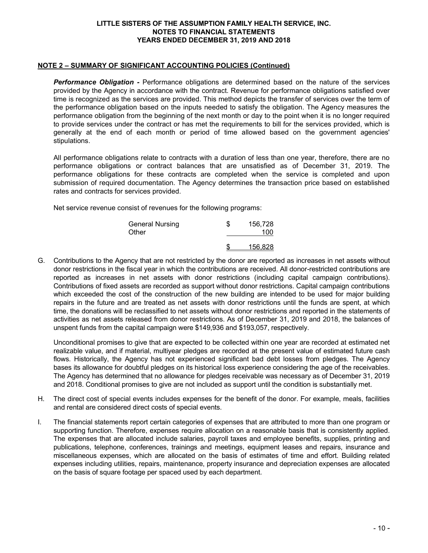#### NOTE 2 – SUMMARY OF SIGNIFICANT ACCOUNTING POLICIES (Continued)

**Performance Obligation -** Performance obligations are determined based on the nature of the services provided by the Agency in accordance with the contract. Revenue for performance obligations satisfied over time is recognized as the services are provided. This method depicts the transfer of services over the term of the performance obligation based on the inputs needed to satisfy the obligation. The Agency measures the performance obligation from the beginning of the next month or day to the point when it is no longer required to provide services under the contract or has met the requirements to bill for the services provided, which is generally at the end of each month or period of time allowed based on the government agencies' stipulations.

All performance obligations relate to contracts with a duration of less than one year, therefore, there are no performance obligations or contract balances that are unsatisfied as of December 31, 2019. The performance obligations for these contracts are completed when the service is completed and upon submission of required documentation. The Agency determines the transaction price based on established rates and contracts for services provided.

Net service revenue consist of revenues for the following programs:

| General Nursing<br>Other | S | 156,728<br>100 |
|--------------------------|---|----------------|
|                          |   | 156.828        |

G. Contributions to the Agency that are not restricted by the donor are reported as increases in net assets without donor restrictions in the fiscal year in which the contributions are received. All donor-restricted contributions are reported as increases in net assets with donor restrictions (including capital campaign contributions). Contributions of fixed assets are recorded as support without donor restrictions. Capital campaign contributions which exceeded the cost of the construction of the new building are intended to be used for major building repairs in the future and are treated as net assets with donor restrictions until the funds are spent, at which time, the donations will be reclassified to net assets without donor restrictions and reported in the statements of activities as net assets released from donor restrictions. As of December 31, 2019 and 2018, the balances of unspent funds from the capital campaign were \$149,936 and \$193,057, respectively.

Unconditional promises to give that are expected to be collected within one year are recorded at estimated net realizable value, and if material, multiyear pledges are recorded at the present value of estimated future cash flows. Historically, the Agency has not experienced significant bad debt losses from pledges. The Agency bases its allowance for doubtful pledges on its historical loss experience considering the age of the receivables. The Agency has determined that no allowance for pledges receivable was necessary as of December 31, 2019 and 2018. Conditional promises to give are not included as support until the condition is substantially met.

- H. The direct cost of special events includes expenses for the benefit of the donor. For example, meals, facilities and rental are considered direct costs of special events.
- I. The financial statements report certain categories of expenses that are attributed to more than one program or supporting function. Therefore, expenses require allocation on a reasonable basis that is consistently applied. The expenses that are allocated include salaries, payroll taxes and employee benefits, supplies, printing and publications, telephone, conferences, trainings and meetings, equipment leases and repairs, insurance and miscellaneous expenses, which are allocated on the basis of estimates of time and effort. Building related expenses including utilities, repairs, maintenance, property insurance and depreciation expenses are allocated on the basis of square footage per spaced used by each department.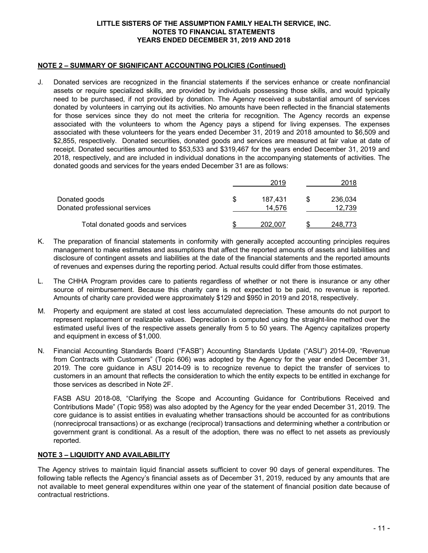#### NOTE 2 – SUMMARY OF SIGNIFICANT ACCOUNTING POLICIES (Continued)

J. Donated services are recognized in the financial statements if the services enhance or create nonfinancial assets or require specialized skills, are provided by individuals possessing those skills, and would typically need to be purchased, if not provided by donation. The Agency received a substantial amount of services donated by volunteers in carrying out its activities. No amounts have been reflected in the financial statements for those services since they do not meet the criteria for recognition. The Agency records an expense associated with the volunteers to whom the Agency pays a stipend for living expenses. The expenses associated with these volunteers for the years ended December 31, 2019 and 2018 amounted to \$6,509 and \$2,855, respectively. Donated securities, donated goods and services are measured at fair value at date of receipt. Donated securities amounted to \$53,533 and \$319,467 for the years ended December 31, 2019 and 2018, respectively, and are included in individual donations in the accompanying statements of activities. The donated goods and services for the years ended December 31 are as follows:

|                                                |     | 2019              | 2018              |
|------------------------------------------------|-----|-------------------|-------------------|
| Donated goods<br>Donated professional services | \$. | 187.431<br>14.576 | 236,034<br>12.739 |
| Total donated goods and services               |     | 202.007           | 248,773           |

- K. The preparation of financial statements in conformity with generally accepted accounting principles requires management to make estimates and assumptions that affect the reported amounts of assets and liabilities and disclosure of contingent assets and liabilities at the date of the financial statements and the reported amounts of revenues and expenses during the reporting period. Actual results could differ from those estimates.
- L. The CHHA Program provides care to patients regardless of whether or not there is insurance or any other source of reimbursement. Because this charity care is not expected to be paid, no revenue is reported. Amounts of charity care provided were approximately \$129 and \$950 in 2019 and 2018, respectively.
- M. Property and equipment are stated at cost less accumulated depreciation. These amounts do not purport to represent replacement or realizable values. Depreciation is computed using the straight-line method over the estimated useful lives of the respective assets generally from 5 to 50 years. The Agency capitalizes property and equipment in excess of \$1,000.
- N. Financial Accounting Standards Board ("FASB") Accounting Standards Update ("ASU") 2014-09, "Revenue from Contracts with Customers" (Topic 606) was adopted by the Agency for the year ended December 31, 2019. The core guidance in ASU 2014-09 is to recognize revenue to depict the transfer of services to customers in an amount that reflects the consideration to which the entity expects to be entitled in exchange for those services as described in Note 2F.

FASB ASU 2018-08, "Clarifying the Scope and Accounting Guidance for Contributions Received and Contributions Made" (Topic 958) was also adopted by the Agency for the year ended December 31, 2019. The core guidance is to assist entities in evaluating whether transactions should be accounted for as contributions (nonreciprocal transactions) or as exchange (reciprocal) transactions and determining whether a contribution or government grant is conditional. As a result of the adoption, there was no effect to net assets as previously reported.

## NOTE 3 – LIQUIDITY AND AVAILABILITY

The Agency strives to maintain liquid financial assets sufficient to cover 90 days of general expenditures. The following table reflects the Agency's financial assets as of December 31, 2019, reduced by any amounts that are not available to meet general expenditures within one year of the statement of financial position date because of contractual restrictions.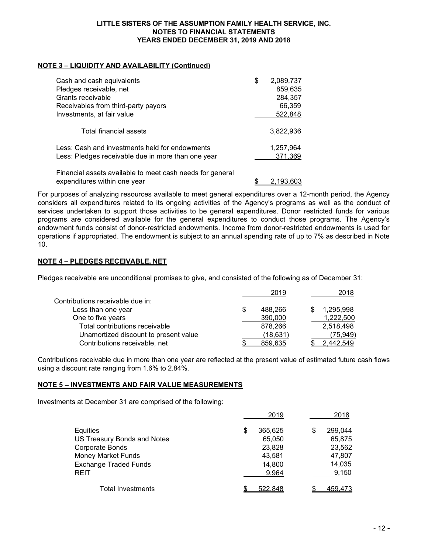## NOTE 3 – LIQUIDITY AND AVAILABILITY (Continued)

| Cash and cash equivalents<br>Pledges receivable, net                                      | \$<br>2,089,737<br>859,635 |
|-------------------------------------------------------------------------------------------|----------------------------|
| Grants receivable                                                                         | 284,357                    |
| Receivables from third-party payors                                                       | 66,359                     |
| Investments, at fair value                                                                | 522,848                    |
| Total financial assets                                                                    | 3,822,936                  |
| Less: Cash and investments held for endowments                                            | 1,257,964                  |
| Less: Pledges receivable due in more than one year                                        | 371,369                    |
| Financial assets available to meet cash needs for general<br>expenditures within one year | 2.193.603                  |

For purposes of analyzing resources available to meet general expenditures over a 12-month period, the Agency considers all expenditures related to its ongoing activities of the Agency's programs as well as the conduct of services undertaken to support those activities to be general expenditures. Donor restricted funds for various programs are considered available for the general expenditures to conduct those programs. The Agency's endowment funds consist of donor-restricted endowments. Income from donor-restricted endowments is used for operations if appropriated. The endowment is subject to an annual spending rate of up to 7% as described in Note 10.

## NOTE 4 – PLEDGES RECEIVABLE, NET

Pledges receivable are unconditional promises to give, and consisted of the following as of December 31:

|                                       |   | 2019      | 2018      |
|---------------------------------------|---|-----------|-----------|
| Contributions receivable due in:      |   |           |           |
| Less than one year                    | S | 488.266   | 1,295,998 |
| One to five years                     |   | 390,000   | 1,222,500 |
| Total contributions receivable        |   | 878.266   | 2,518,498 |
| Unamortized discount to present value |   | (18, 631) | (75,949)  |
| Contributions receivable, net         |   | 859,635   | 2,442,549 |

Contributions receivable due in more than one year are reflected at the present value of estimated future cash flows using a discount rate ranging from 1.6% to 2.84%.

#### NOTE 5 – INVESTMENTS AND FAIR VALUE MEASUREMENTS

Investments at December 31 are comprised of the following:

|                              | 2019         | 2018         |
|------------------------------|--------------|--------------|
| Equities                     | 365,625<br>S | 299.044<br>S |
| US Treasury Bonds and Notes  | 65,050       | 65,875       |
| Corporate Bonds              | 23,828       | 23,562       |
| <b>Money Market Funds</b>    | 43,581       | 47,807       |
| <b>Exchange Traded Funds</b> | 14,800       | 14,035       |
| <b>REIT</b>                  | 9,964        | 9,150        |
| <b>Total Investments</b>     | 522.848      | 459,473<br>S |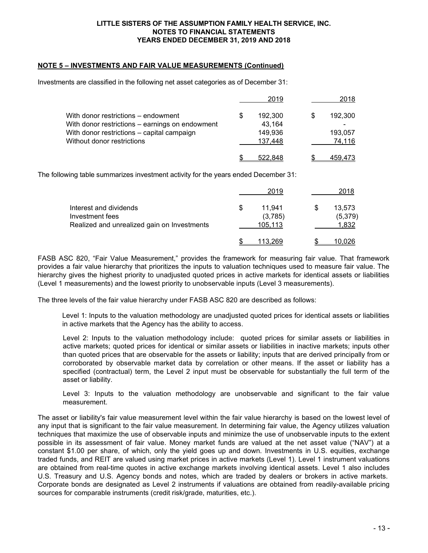## NOTE 5 – INVESTMENTS AND FAIR VALUE MEASUREMENTS (Continued)

Investments are classified in the following net asset categories as of December 31:

|                                                 | 2019    |   | 2018    |
|-------------------------------------------------|---------|---|---------|
| With donor restrictions – endowment             | 192,300 | S | 192,300 |
| With donor restrictions – earnings on endowment | 43,164  |   |         |
| With donor restrictions - capital campaign      | 149,936 |   | 193,057 |
| Without donor restrictions                      | 137,448 |   | 74,116  |
|                                                 | 522.848 |   | 459.473 |

The following table summarizes investment activity for the years ended December 31:

|                                                                                          |   | 2019                         |   | 2018                       |
|------------------------------------------------------------------------------------------|---|------------------------------|---|----------------------------|
| Interest and dividends<br>Investment fees<br>Realized and unrealized gain on Investments | S | 11.941<br>(3,785)<br>105,113 | S | 13,573<br>(5,379)<br>1,832 |
|                                                                                          |   | 113.269                      |   | 10.026                     |

FASB ASC 820, "Fair Value Measurement," provides the framework for measuring fair value. That framework provides a fair value hierarchy that prioritizes the inputs to valuation techniques used to measure fair value. The hierarchy gives the highest priority to unadjusted quoted prices in active markets for identical assets or liabilities (Level 1 measurements) and the lowest priority to unobservable inputs (Level 3 measurements).

The three levels of the fair value hierarchy under FASB ASC 820 are described as follows:

Level 1: Inputs to the valuation methodology are unadjusted quoted prices for identical assets or liabilities in active markets that the Agency has the ability to access.

Level 2: Inputs to the valuation methodology include: quoted prices for similar assets or liabilities in active markets; quoted prices for identical or similar assets or liabilities in inactive markets; inputs other than quoted prices that are observable for the assets or liability; inputs that are derived principally from or corroborated by observable market data by correlation or other means. If the asset or liability has a specified (contractual) term, the Level 2 input must be observable for substantially the full term of the asset or liability.

Level 3: Inputs to the valuation methodology are unobservable and significant to the fair value measurement.

The asset or liability's fair value measurement level within the fair value hierarchy is based on the lowest level of any input that is significant to the fair value measurement. In determining fair value, the Agency utilizes valuation techniques that maximize the use of observable inputs and minimize the use of unobservable inputs to the extent possible in its assessment of fair value. Money market funds are valued at the net asset value ("NAV") at a constant \$1.00 per share, of which, only the yield goes up and down. Investments in U.S. equities, exchange traded funds, and REIT are valued using market prices in active markets (Level 1). Level 1 instrument valuations are obtained from real-time quotes in active exchange markets involving identical assets. Level 1 also includes U.S. Treasury and U.S. Agency bonds and notes, which are traded by dealers or brokers in active markets. Corporate bonds are designated as Level 2 instruments if valuations are obtained from readily-available pricing sources for comparable instruments (credit risk/grade, maturities, etc.).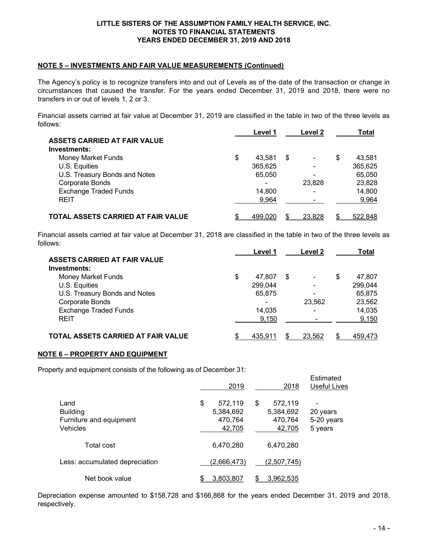### NOTE 5 – INVESTMENTS AND FAIR VALUE MEASUREMENTS (Continued)

The Agency's policy is to recognize transfers into and out of Levels as of the date of the transaction or change in circumstances that caused the transfer. For the years ended December 31, 2019 and 2018, there were no transfers in or out of levels 1, 2 or 3.

Financial assets carried at fair value at December 31, 2019 are classified in the table in two of the three levels as follows: Level 1 Level 2 Total

|                                           |    | Lever 1 | Level Z |   | i otal  |
|-------------------------------------------|----|---------|---------|---|---------|
| <b>ASSETS CARRIED AT FAIR VALUE</b>       |    |         |         |   |         |
| Investments:                              |    |         |         |   |         |
| Money Market Funds                        | \$ | 43.581  | \$      | S | 43,581  |
| U.S. Equities                             |    | 365,625 |         |   | 365,625 |
| U.S. Treasury Bonds and Notes             |    | 65,050  |         |   | 65,050  |
| Corporate Bonds                           |    |         | 23,828  |   | 23,828  |
| <b>Exchange Traded Funds</b>              |    | 14,800  |         |   | 14,800  |
| <b>REIT</b>                               |    | 9,964   |         |   | 9,964   |
|                                           |    |         |         |   |         |
| <b>TOTAL ASSETS CARRIED AT FAIR VALUE</b> | S  | 499.020 | 23,828  |   | 522,848 |

Financial assets carried at fair value at December 31, 2018 are classified in the table in two of the three levels as follows:

|                                           | Level 1      | Level 2 |   | Total   |
|-------------------------------------------|--------------|---------|---|---------|
| <b>ASSETS CARRIED AT FAIR VALUE</b>       |              |         |   |         |
| Investments:                              |              |         |   |         |
| <b>Money Market Funds</b>                 | \$<br>47.807 | \$      | S | 47,807  |
| U.S. Equities                             | 299,044      |         |   | 299,044 |
| U.S. Treasury Bonds and Notes             | 65.875       |         |   | 65,875  |
| Corporate Bonds                           |              | 23.562  |   | 23,562  |
| <b>Exchange Traded Funds</b>              | 14,035       |         |   | 14,035  |
| <b>REIT</b>                               | 9,150        |         |   | 9,150   |
| <b>TOTAL ASSETS CARRIED AT FAIR VALUE</b> | 435.911      | 23.562  |   | 459.473 |

#### NOTE 6 – PROPERTY AND EQUIPMENT

Property and equipment consists of the following as of December 31:

| ,, and equipment concided or the renoming as or Becomport on t | 2019                                            | 2018                                            | Estimated<br>Useful Lives         |
|----------------------------------------------------------------|-------------------------------------------------|-------------------------------------------------|-----------------------------------|
| Land<br><b>Building</b><br>Furniture and equipment<br>Vehicles | \$<br>572,119<br>5,384,692<br>470,764<br>42,705 | \$<br>572,119<br>5,384,692<br>470,764<br>42,705 | 20 years<br>5-20 years<br>5 years |
| Total cost                                                     | 6,470,280                                       | 6,470,280                                       |                                   |
| Less: accumulated depreciation                                 | (2,666,473)                                     | (2,507,745)                                     |                                   |
| Net book value                                                 | \$<br>3,803,807                                 | 3,962,535                                       |                                   |

Depreciation expense amounted to \$158,728 and \$166,868 for the years ended December 31, 2019 and 2018, respectively.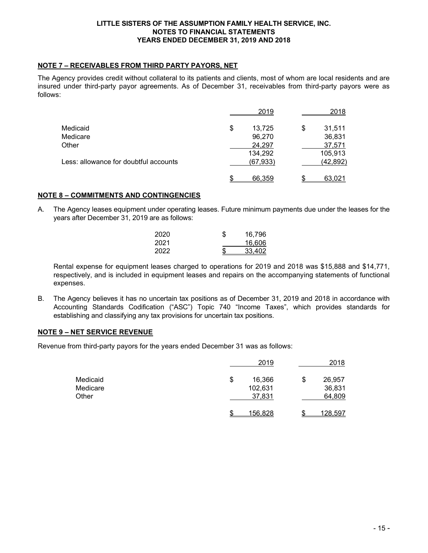## NOTE 7 – RECEIVABLES FROM THIRD PARTY PAYORS, NET

The Agency provides credit without collateral to its patients and clients, most of whom are local residents and are insured under third-party payor agreements. As of December 31, receivables from third-party payors were as follows:

|                                       | 2019         | 2018         |
|---------------------------------------|--------------|--------------|
| Medicaid                              | \$<br>13,725 | 31,511<br>\$ |
| Medicare                              | 96,270       | 36,831       |
| Other                                 | 24,297       | 37,571       |
|                                       | 134,292      | 105,913      |
| Less: allowance for doubtful accounts | (67, 933)    | (42,892)     |
|                                       | 66,359<br>\$ | 63,021       |

## NOTE 8 – COMMITMENTS AND CONTINGENCIES

A. The Agency leases equipment under operating leases. Future minimum payments due under the leases for the years after December 31, 2019 are as follows:

| 2020 | S | 16,796 |
|------|---|--------|
| 2021 |   | 16.606 |
| 2022 |   | 33.402 |

Rental expense for equipment leases charged to operations for 2019 and 2018 was \$15,888 and \$14,771, respectively, and is included in equipment leases and repairs on the accompanying statements of functional expenses.

B. The Agency believes it has no uncertain tax positions as of December 31, 2019 and 2018 in accordance with Accounting Standards Codification ("ASC") Topic 740 "Income Taxes", which provides standards for establishing and classifying any tax provisions for uncertain tax positions.

## NOTE 9 – NET SERVICE REVENUE

Revenue from third-party payors for the years ended December 31 was as follows:

|          | 2019          |    | 2018    |
|----------|---------------|----|---------|
| Medicaid | \$<br>16,366  | \$ | 26,957  |
| Medicare | 102,631       |    | 36,831  |
| Other    | 37,831        |    | 64,809  |
|          | \$<br>156,828 | S  | 128,597 |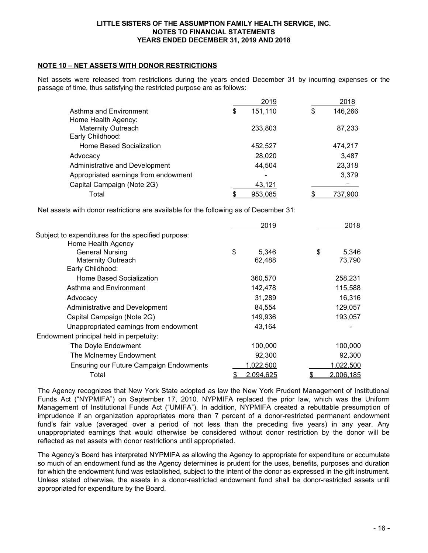## NOTE 10 – NET ASSETS WITH DONOR RESTRICTIONS

Net assets were released from restrictions during the years ended December 31 by incurring expenses or the passage of time, thus satisfying the restricted purpose are as follows:

|                                      | 2019          | 2018          |
|--------------------------------------|---------------|---------------|
| Asthma and Environment               | \$<br>151,110 | \$<br>146,266 |
| Home Health Agency:                  |               |               |
| <b>Maternity Outreach</b>            | 233,803       | 87,233        |
| Early Childhood:                     |               |               |
| Home Based Socialization             | 452,527       | 474,217       |
| Advocacy                             | 28,020        | 3,487         |
| Administrative and Development       | 44,504        | 23,318        |
| Appropriated earnings from endowment |               | 3,379         |
| Capital Campaign (Note 2G)           | 43,121        |               |
| Total                                | \$<br>953.085 | \$<br>737.900 |

Net assets with donor restrictions are available for the following as of December 31:

|                                                    | 2019        | 2018        |
|----------------------------------------------------|-------------|-------------|
| Subject to expenditures for the specified purpose: |             |             |
| Home Health Agency                                 |             |             |
| <b>General Nursing</b>                             | \$<br>5,346 | \$<br>5,346 |
| Maternity Outreach                                 | 62,488      | 73,790      |
| Early Childhood:                                   |             |             |
| Home Based Socialization                           | 360,570     | 258,231     |
| Asthma and Environment                             | 142,478     | 115,588     |
| Advocacy                                           | 31,289      | 16,316      |
| Administrative and Development                     | 84,554      | 129,057     |
| Capital Campaign (Note 2G)                         | 149,936     | 193,057     |
| Unappropriated earnings from endowment             | 43,164      |             |
| Endowment principal held in perpetuity:            |             |             |
| The Doyle Endowment                                | 100,000     | 100,000     |
| The McInerney Endowment                            | 92,300      | 92,300      |
| <b>Ensuring our Future Campaign Endowments</b>     | 1,022,500   | 1,022,500   |
| Total                                              | 2.094.625   | 2,006,185   |

The Agency recognizes that New York State adopted as law the New York Prudent Management of Institutional Funds Act ("NYPMIFA") on September 17, 2010. NYPMIFA replaced the prior law, which was the Uniform Management of Institutional Funds Act ("UMIFA"). In addition, NYPMIFA created a rebuttable presumption of imprudence if an organization appropriates more than 7 percent of a donor-restricted permanent endowment fund's fair value (averaged over a period of not less than the preceding five years) in any year. Any unappropriated earnings that would otherwise be considered without donor restriction by the donor will be reflected as net assets with donor restrictions until appropriated.

The Agency's Board has interpreted NYPMIFA as allowing the Agency to appropriate for expenditure or accumulate so much of an endowment fund as the Agency determines is prudent for the uses, benefits, purposes and duration for which the endowment fund was established, subject to the intent of the donor as expressed in the gift instrument. Unless stated otherwise, the assets in a donor-restricted endowment fund shall be donor-restricted assets until appropriated for expenditure by the Board.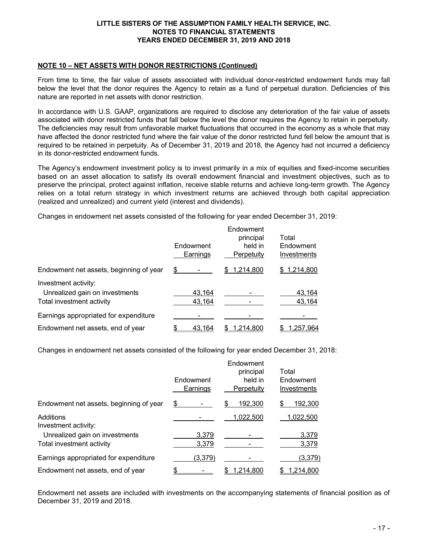### NOTE 10 – NET ASSETS WITH DONOR RESTRICTIONS (Continued)

From time to time, the fair value of assets associated with individual donor-restricted endowment funds may fall below the level that the donor requires the Agency to retain as a fund of perpetual duration. Deficiencies of this nature are reported in net assets with donor restriction.

In accordance with U.S. GAAP, organizations are required to disclose any deterioration of the fair value of assets associated with donor restricted funds that fall below the level the donor requires the Agency to retain in perpetuity. The deficiencies may result from unfavorable market fluctuations that occurred in the economy as a whole that may have affected the donor restricted fund where the fair value of the donor restricted fund fell below the amount that is required to be retained in perpetuity. As of December 31, 2019 and 2018, the Agency had not incurred a deficiency in its donor-restricted endowment funds.

The Agency's endowment investment policy is to invest primarily in a mix of equities and fixed-income securities based on an asset allocation to satisfy its overall endowment financial and investment objectives, such as to preserve the principal, protect against inflation, receive stable returns and achieve long-term growth. The Agency relies on a total return strategy in which investment returns are achieved through both capital appreciation (realized and unrealized) and current yield (interest and dividends).

Changes in endowment net assets consisted of the following for year ended December 31, 2019:

|                                                                                     | Endowment<br>Earnings | Endowment<br>principal<br>held in<br>Perpetuity |                  |
|-------------------------------------------------------------------------------------|-----------------------|-------------------------------------------------|------------------|
| Endowment net assets, beginning of year                                             | \$                    | \$1,214,800                                     | \$1,214,800      |
| Investment activity:<br>Unrealized gain on investments<br>Total investment activity | 43,164<br>43,164      |                                                 | 43,164<br>43,164 |
| Earnings appropriated for expenditure                                               |                       |                                                 |                  |
| Endowment net assets, end of year                                                   | 43,164                | 1.214.800                                       | .257,964         |

Changes in endowment net assets consisted of the following for year ended December 31, 2018:

|                                         | Endowment<br>Earnings | Endowment<br>principal<br>held in<br>Perpetuity | Total<br>Endowment<br>Investments |
|-----------------------------------------|-----------------------|-------------------------------------------------|-----------------------------------|
| Endowment net assets, beginning of year | \$                    | 192.300<br>S                                    | 192,300                           |
| Additions<br>Investment activity:       |                       | 1,022,500                                       | 1,022,500                         |
| Unrealized gain on investments          | 3,379                 |                                                 | 3,379                             |
| Total investment activity               | 3,379                 |                                                 | 3,379                             |
| Earnings appropriated for expenditure   | (3,379)               |                                                 | (3,379)                           |
| Endowment net assets, end of year       |                       | 1.214.800                                       | <u>214,800</u> .                  |

Endowment net assets are included with investments on the accompanying statements of financial position as of December 31, 2019 and 2018.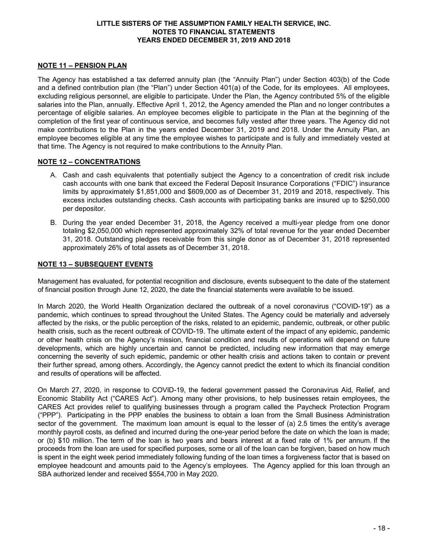### NOTE 11 – PENSION PLAN

The Agency has established a tax deferred annuity plan (the "Annuity Plan") under Section 403(b) of the Code and a defined contribution plan (the "Plan") under Section 401(a) of the Code, for its employees. All employees, excluding religious personnel, are eligible to participate. Under the Plan, the Agency contributed 5% of the eligible salaries into the Plan, annually. Effective April 1, 2012, the Agency amended the Plan and no longer contributes a percentage of eligible salaries. An employee becomes eligible to participate in the Plan at the beginning of the completion of the first year of continuous service, and becomes fully vested after three years. The Agency did not make contributions to the Plan in the years ended December 31, 2019 and 2018. Under the Annuity Plan, an employee becomes eligible at any time the employee wishes to participate and is fully and immediately vested at that time. The Agency is not required to make contributions to the Annuity Plan.

#### NOTE 12 – CONCENTRATIONS

- A. Cash and cash equivalents that potentially subject the Agency to a concentration of credit risk include cash accounts with one bank that exceed the Federal Deposit Insurance Corporations ("FDIC") insurance limits by approximately \$1,851,000 and \$609,000 as of December 31, 2019 and 2018, respectively. This excess includes outstanding checks. Cash accounts with participating banks are insured up to \$250,000 per depositor.
- B. During the year ended December 31, 2018, the Agency received a multi-year pledge from one donor totaling \$2,050,000 which represented approximately 32% of total revenue for the year ended December 31, 2018. Outstanding pledges receivable from this single donor as of December 31, 2018 represented approximately 26% of total assets as of December 31, 2018.

#### NOTE 13 – SUBSEQUENT EVENTS

Management has evaluated, for potential recognition and disclosure, events subsequent to the date of the statement of financial position through June 12, 2020, the date the financial statements were available to be issued.

In March 2020, the World Health Organization declared the outbreak of a novel coronavirus ("COVID-19") as a pandemic, which continues to spread throughout the United States. The Agency could be materially and adversely affected by the risks, or the public perception of the risks, related to an epidemic, pandemic, outbreak, or other public health crisis, such as the recent outbreak of COVID-19. The ultimate extent of the impact of any epidemic, pandemic or other health crisis on the Agency's mission, financial condition and results of operations will depend on future developments, which are highly uncertain and cannot be predicted, including new information that may emerge concerning the severity of such epidemic, pandemic or other health crisis and actions taken to contain or prevent their further spread, among others. Accordingly, the Agency cannot predict the extent to which its financial condition and results of operations will be affected.

On March 27, 2020, in response to COVID-19, the federal government passed the Coronavirus Aid, Relief, and Economic Stability Act ("CARES Act"). Among many other provisions, to help businesses retain employees, the CARES Act provides relief to qualifying businesses through a program called the Paycheck Protection Program ("PPP"). Participating in the PPP enables the business to obtain a loan from the Small Business Administration sector of the government. The maximum loan amount is equal to the lesser of (a) 2.5 times the entity's average monthly payroll costs, as defined and incurred during the one-year period before the date on which the loan is made; or (b) \$10 million. The term of the loan is two years and bears interest at a fixed rate of 1% per annum. If the proceeds from the loan are used for specified purposes, some or all of the loan can be forgiven, based on how much is spent in the eight week period immediately following funding of the loan times a forgiveness factor that is based on employee headcount and amounts paid to the Agency's employees. The Agency applied for this loan through an SBA authorized lender and received \$554,700 in May 2020.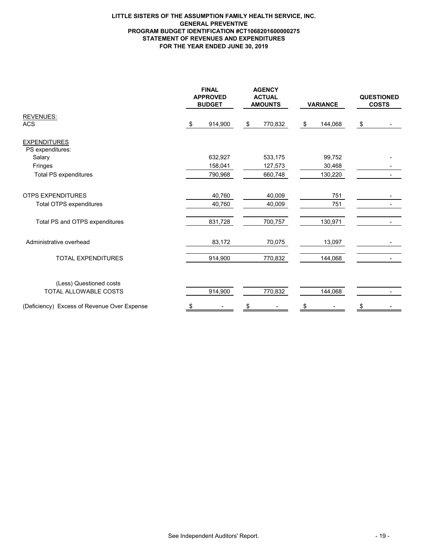#### **LITTLE SISTERS OF THE ASSUMPTION FAMILY HEALTH SERVICE, INC. GENERAL PREVENTIVE PROGRAM BUDGET IDENTIFICATION #CT1068201600000275 STATEMENT OF REVENUES AND EXPENDITURES FOR THE YEAR ENDED JUNE 30, 2019**

|                                                         |    | <b>FINAL</b><br><b>APPROVED</b><br><b>BUDGET</b> |               | <b>AGENCY</b><br><b>ACTUAL</b><br><b>AMOUNTS</b> |      | <b>VARIANCE</b> |    | <b>QUESTIONED</b><br><b>COSTS</b> |
|---------------------------------------------------------|----|--------------------------------------------------|---------------|--------------------------------------------------|------|-----------------|----|-----------------------------------|
| <b>REVENUES:</b>                                        |    |                                                  |               |                                                  |      |                 |    |                                   |
| <b>ACS</b>                                              | \$ | 914,900                                          | $\frac{1}{2}$ | 770,832                                          | - \$ | 144,068         | \$ |                                   |
| <b>EXPENDITURES</b>                                     |    |                                                  |               |                                                  |      |                 |    |                                   |
| PS expenditures:                                        |    |                                                  |               |                                                  |      |                 |    |                                   |
| Salary                                                  |    | 632,927                                          |               | 533,175                                          |      | 99,752          |    |                                   |
| Fringes                                                 |    | 158,041                                          |               | 127,573                                          |      | 30,468          |    |                                   |
| <b>Total PS expenditures</b>                            |    | 790,968                                          |               | 660,748                                          |      | 130,220         |    |                                   |
| <b>OTPS EXPENDITURES</b>                                |    | 40,760                                           |               | 40,009                                           |      | 751             |    |                                   |
| Total OTPS expenditures                                 |    | 40,760                                           |               | 40,009                                           |      | 751             |    |                                   |
| Total PS and OTPS expenditures                          |    | 831,728                                          |               | 700,757                                          |      | 130,971         |    |                                   |
| Administrative overhead                                 |    | 83,172                                           |               | 70,075                                           |      | 13,097          |    |                                   |
| <b>TOTAL EXPENDITURES</b>                               |    | 914,900                                          |               | 770,832                                          |      | 144,068         |    |                                   |
| (Less) Questioned costs<br><b>TOTAL ALLOWABLE COSTS</b> |    | 914,900                                          |               | 770,832                                          |      | 144,068         |    |                                   |
|                                                         |    |                                                  |               |                                                  |      |                 |    |                                   |
| (Deficiency) Excess of Revenue Over Expense             | S. |                                                  |               |                                                  | S    |                 |    |                                   |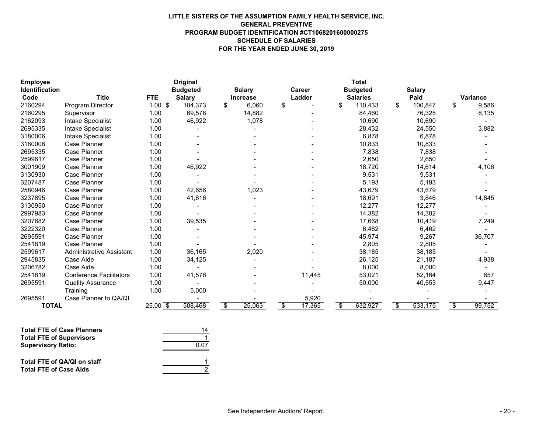#### **LITTLE SISTERS OF THE ASSUMPTION FAMILY HEALTH SERVICE, INC. GENERAL PREVENTIVE PROGRAM BUDGET IDENTIFICATION #CT1068201600000275 SCHEDULE OF SALARIES FOR THE YEAR ENDED JUNE 30, 2019**

| <b>Employee</b> |                                 |            | Original        |                 |              | <b>Total</b>    |               |                     |
|-----------------|---------------------------------|------------|-----------------|-----------------|--------------|-----------------|---------------|---------------------|
| Identification  |                                 |            | <b>Budgeted</b> | <b>Salary</b>   | Career       | <b>Budgeted</b> | <b>Salary</b> |                     |
| Code            | <b>Title</b>                    | <b>FTE</b> | <b>Salary</b>   | <b>Increase</b> | Ladder       | <b>Salaries</b> | Paid          | Variance            |
| 2160294         | Program Director                | 1.00       | 104,373<br>-\$  | 6,060<br>\$     | \$           | 110,433<br>\$   | 100,847<br>\$ | \$<br>9,586         |
| 2160295         | Supervisor                      | 1.00       | 69,578          | 14,882          |              | 84,460          | 76,325        | 8,135               |
| 2162093         | Intake Specialist               | 1.00       | 46,922          | 1,078           |              | 10,690          | 10,690        |                     |
| 2695335         | Intake Specialist               | 1.00       |                 |                 |              | 28,432          | 24,550        | 3,882               |
| 3180006         | Intake Specialist               | 1.00       |                 |                 |              | 6,878           | 6,878         |                     |
| 3180006         | Case Planner                    | 1.00       |                 |                 |              | 10,833          | 10,833        |                     |
| 2695335         | Case Planner                    | 1.00       |                 |                 |              | 7,838           | 7,838         |                     |
| 2599617         | Case Planner                    | 1.00       |                 |                 |              | 2,650           | 2,650         |                     |
| 3001909         | Case Planner                    | 1.00       | 46,922          |                 |              | 18,720          | 14,614        | 4,106               |
| 3130930         | Case Planner                    | 1.00       |                 |                 |              | 9,531           | 9,531         |                     |
| 3207487         | Case Planner                    | 1.00       |                 |                 |              | 5,193           | 5,193         |                     |
| 2580946         | Case Planner                    | 1.00       | 42,656          | 1,023           |              | 43,679          | 43,679        |                     |
| 3237895         | Case Planner                    | 1.00       | 41,616          |                 |              | 18,691          | 3,846         | 14,845              |
| 3130950         | Case Planner                    | 1.00       |                 |                 |              | 12,277          | 12,277        |                     |
| 2997983         | Case Planner                    | 1.00       |                 |                 |              | 14,382          | 14,382        |                     |
| 3207682         | Case Planner                    | 1.00       | 39,535          |                 |              | 17,668          | 10,419        | 7,249               |
| 3222320         | Case Planner                    | 1.00       |                 |                 |              | 6,462           | 6,462         |                     |
| 2695591         | Case Planner                    | 1.00       |                 |                 |              | 45,974          | 9,267         | 36,707              |
| 2541819         | Case Planner                    | 1.00       |                 |                 |              | 2,805           | 2,805         |                     |
| 2599617         | <b>Administrative Assistant</b> | 1.00       | 36,165          | 2,020           |              | 38,185          | 38,185        |                     |
| 2945835         | Case Aide                       | 1.00       | 34,125          |                 |              | 26,125          | 21,187        | 4,938               |
| 3206782         | Case Aide                       | 1.00       |                 |                 |              | 8,000           | 8,000         |                     |
| 2541819         | <b>Conference Facilitators</b>  | 1.00       | 41,576          |                 | 11,445       | 53,021          | 52,164        | 857                 |
| 2695591         | <b>Quality Assurance</b>        | 1.00       |                 |                 |              | 50,000          | 40,553        | 9,447               |
|                 | Training                        | 1.00       | 5,000           |                 |              |                 |               |                     |
| 2695591         | Case Planner to QA/QI           |            |                 |                 | 5,920        |                 |               |                     |
| <b>TOTAL</b>    |                                 | $25.00$ \$ | 508,468         | 25,063<br>\$    | 17,365<br>\$ | 632,927<br>\$   | 533,175<br>\$ | 99,752<br>$\bullet$ |
|                 |                                 |            |                 |                 |              |                 |               |                     |

| <b>Total FTE of Case Planners</b> | 14 |
|-----------------------------------|----|
| <b>Total FTE of Supervisors</b>   |    |
| <b>Supervisory Ratio:</b>         |    |
| Total FTE of QA/QI on staff       |    |
| <b>Total FTE of Case Aids</b>     |    |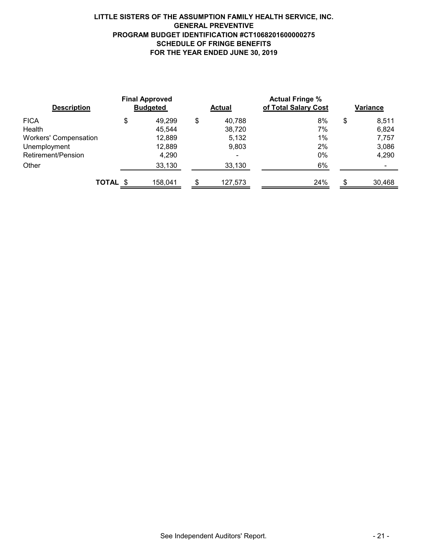## **LITTLE SISTERS OF THE ASSUMPTION FAMILY HEALTH SERVICE, INC. GENERAL PREVENTIVE PROGRAM BUDGET IDENTIFICATION #CT1068201600000275 SCHEDULE OF FRINGE BENEFITS FOR THE YEAR ENDED JUNE 30, 2019**

| <b>Description</b>           | <b>Final Approved</b><br><b>Budgeted</b> | <b>Actual</b>  | <b>Actual Fringe %</b><br>of Total Salary Cost |     | Variance |
|------------------------------|------------------------------------------|----------------|------------------------------------------------|-----|----------|
| <b>FICA</b>                  | \$<br>49,299                             | \$<br>40,788   | 8%                                             | \$  | 8,511    |
| Health                       | 45,544                                   | 38,720         | 7%                                             |     | 6,824    |
| <b>Workers' Compensation</b> | 12,889                                   | 5,132          | 1%                                             |     | 7,757    |
| Unemployment                 | 12,889                                   | 9,803          | 2%                                             |     | 3,086    |
| Retirement/Pension           | 4,290                                    | $\blacksquare$ | 0%                                             |     | 4,290    |
| Other                        | 33,130                                   | 33,130         | 6%                                             |     | ۰        |
| TOTAL \$                     | 158.041                                  | \$<br>127,573  | 24%                                            | \$. | 30,468   |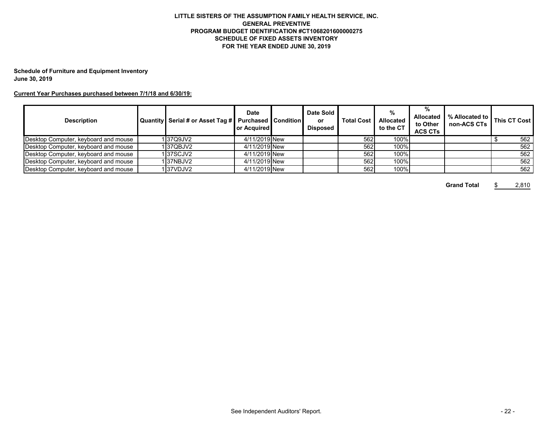#### **LITTLE SISTERS OF THE ASSUMPTION FAMILY HEALTH SERVICE, INC. GENERAL PREVENTIVE PROGRAM BUDGET IDENTIFICATION #CT1068201600000275 SCHEDULE OF FIXED ASSETS INVENTORY FOR THE YEAR ENDED JUNE 30, 2019**

**Schedule of Furniture and Equipment Inventory June 30, 2019**

#### **Current Year Purchases purchased between 7/1/18 and 6/30/19:**

| <b>Description</b>                   | Quantity Serial # or Asset Tag #   Purchased Condition | Date<br><b>Tor Acquired</b> | Date Sold<br><b>or</b><br><b>Disposed</b> | <b>Total Cost</b> | %<br><b>Allocated</b><br>to the CT | %<br><b>Allocated</b><br>to Other<br>ACS CTs | % Allocated to <b>I</b><br>non-ACS CTs | This CT Cost |
|--------------------------------------|--------------------------------------------------------|-----------------------------|-------------------------------------------|-------------------|------------------------------------|----------------------------------------------|----------------------------------------|--------------|
| Desktop Computer, keyboard and mouse | 137Q9JV2                                               | 4/11/2019 New               |                                           | 562               | 100%                               |                                              |                                        | 562          |
| Desktop Computer, keyboard and mouse | 137QBJV2                                               | 4/11/2019 New               |                                           | 562               | 100%                               |                                              |                                        | 562          |
| Desktop Computer, keyboard and mouse | 137SCJV2                                               | 4/11/2019 New               |                                           | 562               | 100%                               |                                              |                                        | 562          |
| Desktop Computer, keyboard and mouse | 37NBJV2                                                | 4/11/2019 New               |                                           | 562               | 100%                               |                                              |                                        | 562          |
| Desktop Computer, keyboard and mouse | 37VDJV2                                                | 4/11/2019 New               |                                           | 562               | 100%                               |                                              |                                        | 562          |

**Grand Total** \$ 2,810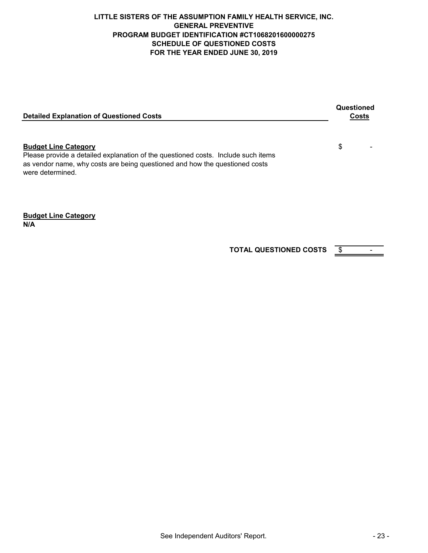## **LITTLE SISTERS OF THE ASSUMPTION FAMILY HEALTH SERVICE, INC. GENERAL PREVENTIVE PROGRAM BUDGET IDENTIFICATION #CT1068201600000275 SCHEDULE OF QUESTIONED COSTS FOR THE YEAR ENDED JUNE 30, 2019**

| <b>Detailed Explanation of Questioned Costs</b>                                                                                                                                                                     | Questioned<br><b>Costs</b> |  |
|---------------------------------------------------------------------------------------------------------------------------------------------------------------------------------------------------------------------|----------------------------|--|
| <b>Budget Line Category</b><br>Please provide a detailed explanation of the questioned costs. Include such items<br>as vendor name, why costs are being questioned and how the questioned costs<br>were determined. | \$                         |  |
| <b>Budget Line Category</b><br>.                                                                                                                                                                                    |                            |  |

**N/A**

**TOTAL QUESTIONED COSTS**